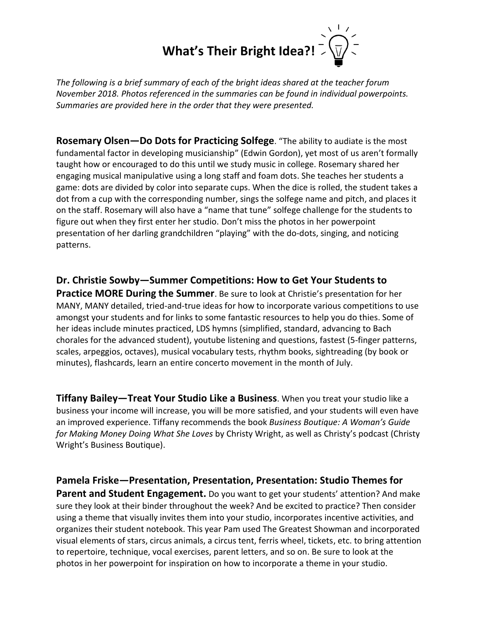## **What's Their Bright Idea?!**

*The following is a brief summary of each of the bright ideas shared at the teacher forum November 2018. Photos referenced in the summaries can be found in individual powerpoints. Summaries are provided here in the order that they were presented.*

**Rosemary Olsen—Do Dots for Practicing Solfege**. "The ability to audiate is the most fundamental factor in developing musicianship" (Edwin Gordon), yet most of us aren't formally taught how or encouraged to do this until we study music in college. Rosemary shared her engaging musical manipulative using a long staff and foam dots. She teaches her students a game: dots are divided by color into separate cups. When the dice is rolled, the student takes a dot from a cup with the corresponding number, sings the solfege name and pitch, and places it on the staff. Rosemary will also have a "name that tune" solfege challenge for the students to figure out when they first enter her studio. Don't miss the photos in her powerpoint presentation of her darling grandchildren "playing" with the do-dots, singing, and noticing patterns.

**Dr. Christie Sowby—Summer Competitions: How to Get Your Students to Practice MORE During the Summer**. Be sure to look at Christie's presentation for her MANY, MANY detailed, tried-and-true ideas for how to incorporate various competitions to use amongst your students and for links to some fantastic resources to help you do thies. Some of her ideas include minutes practiced, LDS hymns (simplified, standard, advancing to Bach chorales for the advanced student), youtube listening and questions, fastest (5-finger patterns, scales, arpeggios, octaves), musical vocabulary tests, rhythm books, sightreading (by book or minutes), flashcards, learn an entire concerto movement in the month of July.

**Tiffany Bailey—Treat Your Studio Like a Business**. When you treat your studio like a business your income will increase, you will be more satisfied, and your students will even have an improved experience. Tiffany recommends the book *Business Boutique: A Woman's Guide for Making Money Doing What She Loves* by Christy Wright, as well as Christy's podcast (Christy Wright's Business Boutique).

**Pamela Friske—Presentation, Presentation, Presentation: Studio Themes for Parent and Student Engagement.** Do you want to get your students' attention? And make sure they look at their binder throughout the week? And be excited to practice? Then consider using a theme that visually invites them into your studio, incorporates incentive activities, and organizes their student notebook. This year Pam used The Greatest Showman and incorporated visual elements of stars, circus animals, a circus tent, ferris wheel, tickets, etc. to bring attention to repertoire, technique, vocal exercises, parent letters, and so on. Be sure to look at the photos in her powerpoint for inspiration on how to incorporate a theme in your studio.